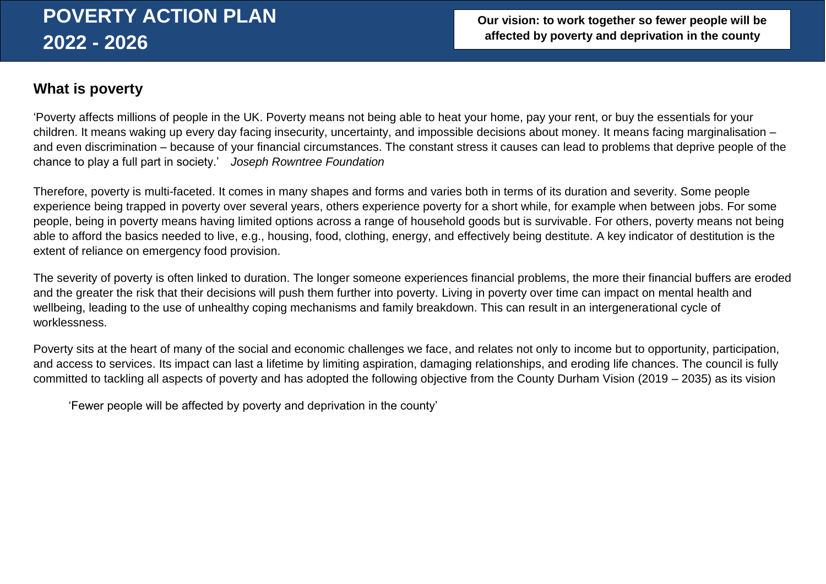## **What is poverty**

'Poverty affects millions of people in the UK. Poverty means not being able to heat your home, pay your rent, or buy the essentials for your children. It means waking up every day facing insecurity, uncertainty, and impossible decisions about money. It means facing marginalisation – and even discrimination – because of your financial circumstances. The constant stress it causes can lead to problems that deprive people of the chance to play a full part in society.' *Joseph Rowntree Foundation*

Therefore, poverty is multi-faceted. It comes in many shapes and forms and varies both in terms of its duration and severity. Some people experience being trapped in poverty over several years, others experience poverty for a short while, for example when between jobs. For some people, being in poverty means having limited options across a range of household goods but is survivable. For others, poverty means not being able to afford the basics needed to live, e.g., housing, food, clothing, energy, and effectively being destitute. A key indicator of destitution is the extent of reliance on emergency food provision.

The severity of poverty is often linked to duration. The longer someone experiences financial problems, the more their financial buffers are eroded and the greater the risk that their decisions will push them further into poverty. Living in poverty over time can impact on mental health and wellbeing, leading to the use of unhealthy coping mechanisms and family breakdown. This can result in an intergenerational cycle of worklessness.

Poverty sits at the heart of many of the social and economic challenges we face, and relates not only to income but to opportunity, participation, and access to services. Its impact can last a lifetime by limiting aspiration, damaging relationships, and eroding life chances. The council is fully committed to tackling all aspects of poverty and has adopted the following objective from the County Durham Vision (2019 – 2035) as its vision

'Fewer people will be affected by poverty and deprivation in the county'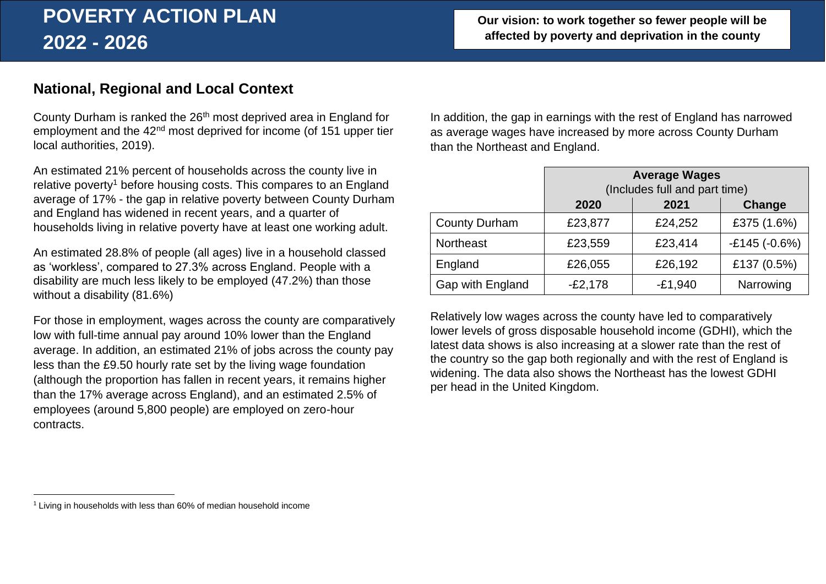## **Our vision: to work together so fewer people will be affected by poverty and deprivation in the county**

# **National, Regional and Local Context**

County Durham is ranked the 26<sup>th</sup> most deprived area in England for employment and the 42nd most deprived for income (of 151 upper tier local authorities, 2019).

An estimated 21% percent of households across the county live in relative poverty<sup>1</sup> before housing costs. This compares to an England average of 17% - the gap in relative poverty between County Durham and England has widened in recent years, and a quarter of households living in relative poverty have at least one working adult.

An estimated 28.8% of people (all ages) live in a household classed as 'workless', compared to 27.3% across England. People with a disability are much less likely to be employed (47.2%) than those without a disability (81.6%)

For those in employment, wages across the county are comparatively low with full-time annual pay around 10% lower than the England average. In addition, an estimated 21% of jobs across the county pay less than the £9.50 hourly rate set by the living wage foundation (although the proportion has fallen in recent years, it remains higher than the 17% average across England), and an estimated 2.5% of employees (around 5,800 people) are employed on zero-hour contracts.

In addition, the gap in earnings with the rest of England has narrowed as average wages have increased by more across County Durham than the Northeast and England.

|                      | <b>Average Wages</b><br>(Includes full and part time) |           |                |
|----------------------|-------------------------------------------------------|-----------|----------------|
|                      | 2020                                                  | 2021      | Change         |
| <b>County Durham</b> | £23,877                                               | £24,252   | £375 (1.6%)    |
| <b>Northeast</b>     | £23,559                                               | £23,414   | $-£145(-0.6%)$ |
| England              | £26,055                                               | £26,192   | £137 (0.5%)    |
| Gap with England     | $-E2,178$                                             | $-E1,940$ | Narrowing      |

Relatively low wages across the county have led to comparatively lower levels of gross disposable household income (GDHI), which the latest data shows is also increasing at a slower rate than the rest of the country so the gap both regionally and with the rest of England is widening. The data also shows the Northeast has the lowest GDHI per head in the United Kingdom.

 $\overline{a}$ 

 $1$  Living in households with less than 60% of median household income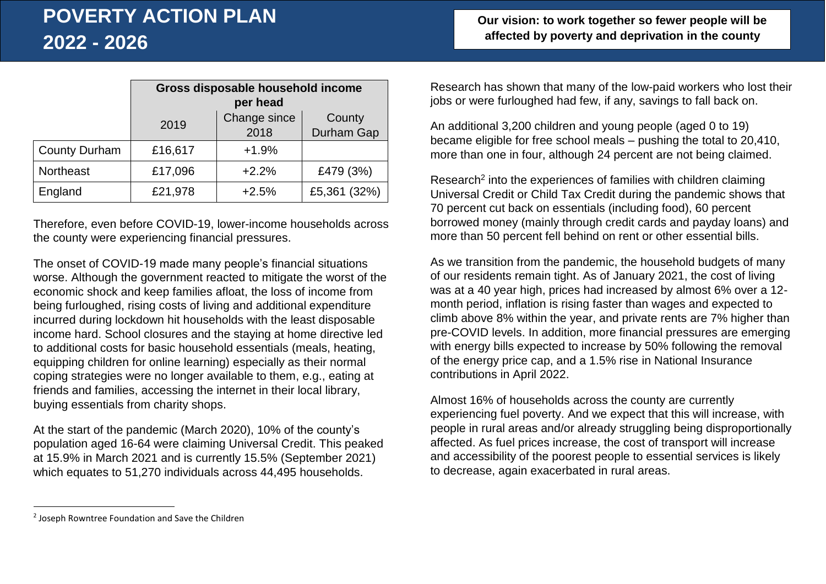|                      | Gross disposable household income |              |              |
|----------------------|-----------------------------------|--------------|--------------|
|                      |                                   | per head     |              |
|                      | 2019                              | Change since | County       |
|                      |                                   | 2018         | Durham Gap   |
| <b>County Durham</b> | £16,617                           | $+1.9%$      |              |
| Northeast            | £17,096                           | $+2.2%$      | £479 (3%)    |
| England              | £21,978                           | $+2.5%$      | £5,361 (32%) |

Therefore, even before COVID-19, lower-income households across the county were experiencing financial pressures.

The onset of COVID-19 made many people's financial situations worse. Although the government reacted to mitigate the worst of the economic shock and keep families afloat, the loss of income from being furloughed, rising costs of living and additional expenditure incurred during lockdown hit households with the least disposable income hard. School closures and the staying at home directive led to additional costs for basic household essentials (meals, heating, equipping children for online learning) especially as their normal coping strategies were no longer available to them, e.g., eating at friends and families, accessing the internet in their local library, buying essentials from charity shops.

At the start of the pandemic (March 2020), 10% of the county's population aged 16-64 were claiming Universal Credit. This peaked at 15.9% in March 2021 and is currently 15.5% (September 2021) which equates to 51,270 individuals across 44,495 households.

Research has shown that many of the low-paid workers who lost their jobs or were furloughed had few, if any, savings to fall back on.

An additional 3,200 children and young people (aged 0 to 19) became eligible for free school meals – pushing the total to 20,410, more than one in four, although 24 percent are not being claimed.

[Research](https://www.jrf.org.uk/report/call-stronger-social-security-lifeline-children)<sup>2</sup> into the experiences of families with children claiming Universal Credit or Child Tax Credit during the pandemic shows that 70 percent cut back on essentials (including food), 60 percent borrowed money (mainly through credit cards and payday loans) and more than 50 percent fell behind on rent or other essential bills.

As we transition from the pandemic, the household budgets of many of our residents remain tight. As of January 2021, the cost of living was at a 40 year high, prices had increased by almost 6% over a 12 month period, inflation is rising faster than wages and expected to climb above 8% within the year, and private rents are 7% higher than pre-COVID levels. In addition, more financial pressures are emerging with energy bills expected to increase by 50% following the removal of the energy price cap, and a 1.5% rise in National Insurance contributions in April 2022.

Almost 16% of households across the county are currently experiencing fuel poverty. And we expect that this will increase, with people in rural areas and/or already struggling being disproportionally affected. As fuel prices increase, the cost of transport will increase and accessibility of the poorest people to essential services is likely to decrease, again exacerbated in rural areas.

 $\ddot{\phantom{a}}$ 

<sup>&</sup>lt;sup>2</sup> Joseph Rowntree Foundation and Save the Children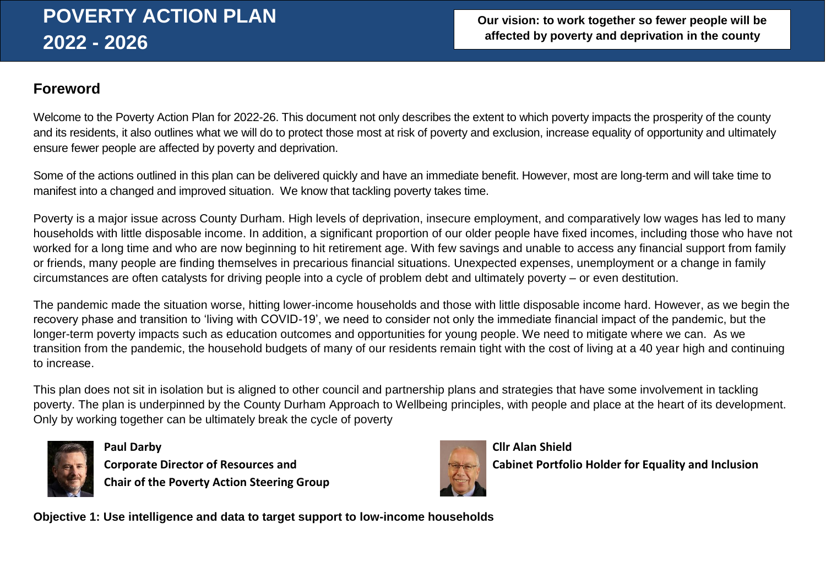# **Foreword**

Welcome to the Poverty Action Plan for 2022-26. This document not only describes the extent to which poverty impacts the prosperity of the county and its residents, it also outlines what we will do to protect those most at risk of poverty and exclusion, increase equality of opportunity and ultimately ensure fewer people are affected by poverty and deprivation.

Some of the actions outlined in this plan can be delivered quickly and have an immediate benefit. However, most are long-term and will take time to manifest into a changed and improved situation. We know that tackling poverty takes time.

Poverty is a major issue across County Durham. High levels of deprivation, insecure employment, and comparatively low wages has led to many households with little disposable income. In addition, a significant proportion of our older people have fixed incomes, including those who have not worked for a long time and who are now beginning to hit retirement age. With few savings and unable to access any financial support from family or friends, many people are finding themselves in precarious financial situations. Unexpected expenses, unemployment or a change in family circumstances are often catalysts for driving people into a cycle of problem debt and ultimately poverty – or even destitution.

The pandemic made the situation worse, hitting lower-income households and those with little disposable income hard. However, as we begin the recovery phase and transition to 'living with COVID-19', we need to consider not only the immediate financial impact of the pandemic, but the longer-term poverty impacts such as education outcomes and opportunities for young people. We need to mitigate where we can. As we transition from the pandemic, the household budgets of many of our residents remain tight with the cost of living at a 40 year high and continuing to increase.

This plan does not sit in isolation but is aligned to other council and partnership plans and strategies that have some involvement in tackling poverty. The plan is underpinned by the County Durham Approach to Wellbeing principles, with people and place at the heart of its development. Only by working together can be ultimately break the cycle of poverty



**Paul Darby Cllr Alan Shield Chair of the Poverty Action Steering Group**



**Corporate Director of Resources and Cabinet Portfolio Holder for Equality and Inclusion** 

**Objective 1: Use intelligence and data to target support to low-income households**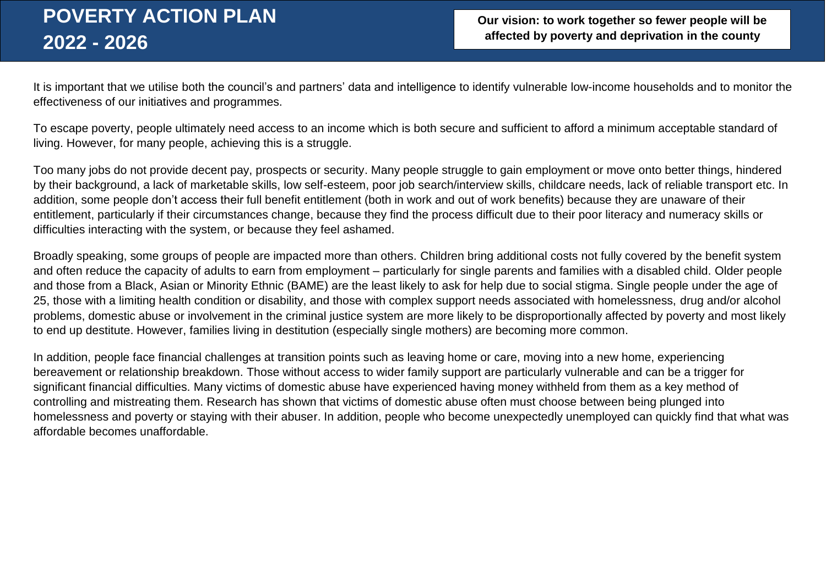**Our vision: to work together so fewer people will be affected by poverty and deprivation in the county**

It is important that we utilise both the council's and partners' data and intelligence to identify vulnerable low-income households and to monitor the effectiveness of our initiatives and programmes.

To escape poverty, people ultimately need access to an income which is both secure and sufficient to afford a minimum acceptable standard of living. However, for many people, achieving this is a struggle.

Too many jobs do not provide decent pay, prospects or security. Many people struggle to gain employment or move onto better things, hindered by their background, a lack of marketable skills, low self-esteem, poor job search/interview skills, childcare needs, lack of reliable transport etc. In addition, some people don't access their full benefit entitlement (both in work and out of work benefits) because they are unaware of their entitlement, particularly if their circumstances change, because they find the process difficult due to their poor literacy and numeracy skills or difficulties interacting with the system, or because they feel ashamed.

Broadly speaking, some groups of people are impacted more than others. Children bring additional costs not fully covered by the benefit system and often reduce the capacity of adults to earn from employment – particularly for single parents and families with a disabled child. Older people and those from a Black, Asian or Minority Ethnic (BAME) are the least likely to ask for help due to social stigma. Single people under the age of 25, those with a limiting health condition or disability, and those with complex support needs associated with homelessness, drug and/or alcohol problems, domestic abuse or involvement in the criminal justice system are more likely to be disproportionally affected by poverty and most likely to end up destitute. However, families living in destitution (especially single mothers) are becoming more common.

In addition, people face financial challenges at transition points such as leaving home or care, moving into a new home, experiencing bereavement or relationship breakdown. Those without access to wider family support are particularly vulnerable and can be a trigger for significant financial difficulties. Many victims of domestic abuse have experienced having money withheld from them as a key method of controlling and mistreating them. Research has shown that victims of domestic abuse often must choose between being plunged into homelessness and poverty or staying with their abuser. In addition, people who become unexpectedly unemployed can quickly find that what was affordable becomes unaffordable.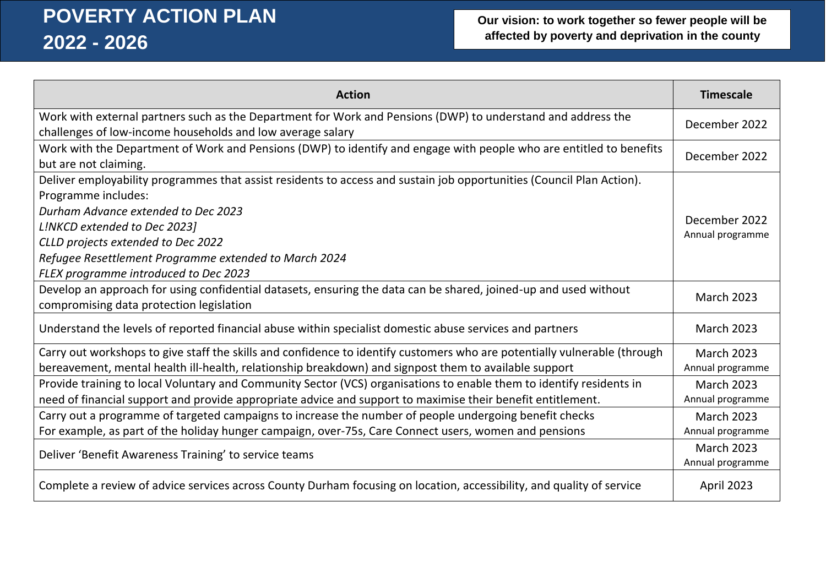| <b>Action</b>                                                                                                                                                | <b>Timescale</b>  |
|--------------------------------------------------------------------------------------------------------------------------------------------------------------|-------------------|
| Work with external partners such as the Department for Work and Pensions (DWP) to understand and address the                                                 | December 2022     |
| challenges of low-income households and low average salary                                                                                                   |                   |
| Work with the Department of Work and Pensions (DWP) to identify and engage with people who are entitled to benefits<br>but are not claiming.                 | December 2022     |
| Deliver employability programmes that assist residents to access and sustain job opportunities (Council Plan Action).                                        |                   |
| Programme includes:                                                                                                                                          |                   |
| Durham Advance extended to Dec 2023                                                                                                                          |                   |
| L!NKCD extended to Dec 2023]                                                                                                                                 | December 2022     |
| CLLD projects extended to Dec 2022                                                                                                                           | Annual programme  |
| Refugee Resettlement Programme extended to March 2024                                                                                                        |                   |
| FLEX programme introduced to Dec 2023                                                                                                                        |                   |
| Develop an approach for using confidential datasets, ensuring the data can be shared, joined-up and used without<br>compromising data protection legislation | <b>March 2023</b> |
|                                                                                                                                                              |                   |
| Understand the levels of reported financial abuse within specialist domestic abuse services and partners                                                     | <b>March 2023</b> |
| Carry out workshops to give staff the skills and confidence to identify customers who are potentially vulnerable (through                                    | <b>March 2023</b> |
| bereavement, mental health ill-health, relationship breakdown) and signpost them to available support                                                        | Annual programme  |
| Provide training to local Voluntary and Community Sector (VCS) organisations to enable them to identify residents in                                         | <b>March 2023</b> |
| need of financial support and provide appropriate advice and support to maximise their benefit entitlement.                                                  | Annual programme  |
| Carry out a programme of targeted campaigns to increase the number of people undergoing benefit checks                                                       | <b>March 2023</b> |
| For example, as part of the holiday hunger campaign, over-75s, Care Connect users, women and pensions                                                        | Annual programme  |
| Deliver 'Benefit Awareness Training' to service teams                                                                                                        | <b>March 2023</b> |
|                                                                                                                                                              | Annual programme  |
| Complete a review of advice services across County Durham focusing on location, accessibility, and quality of service                                        | April 2023        |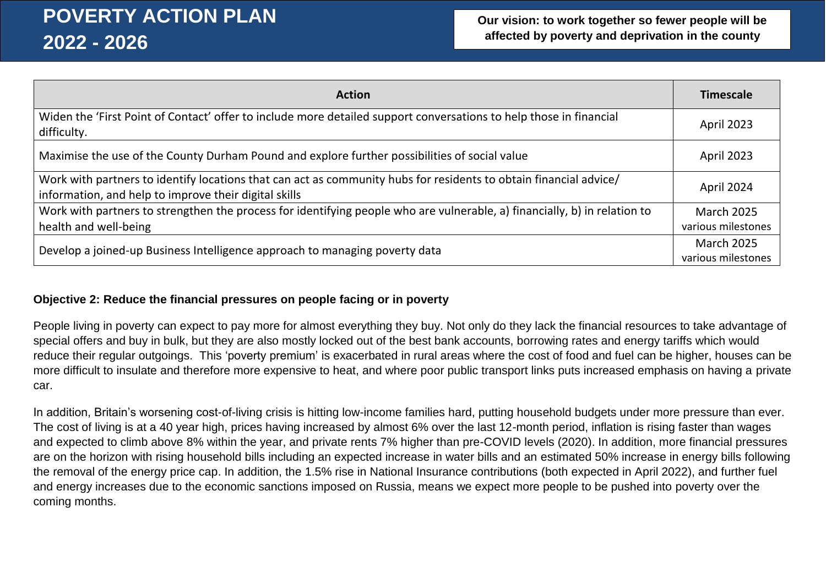| <b>Action</b>                                                                                                                                                              | <b>Timescale</b>   |
|----------------------------------------------------------------------------------------------------------------------------------------------------------------------------|--------------------|
| Widen the 'First Point of Contact' offer to include more detailed support conversations to help those in financial<br>difficulty.                                          | <b>April 2023</b>  |
| Maximise the use of the County Durham Pound and explore further possibilities of social value                                                                              | <b>April 2023</b>  |
| Work with partners to identify locations that can act as community hubs for residents to obtain financial advice/<br>information, and help to improve their digital skills | April 2024         |
| Work with partners to strengthen the process for identifying people who are vulnerable, a) financially, b) in relation to                                                  | <b>March 2025</b>  |
| health and well-being                                                                                                                                                      | various milestones |
| Develop a joined-up Business Intelligence approach to managing poverty data                                                                                                |                    |

### **Objective 2: Reduce the financial pressures on people facing or in poverty**

People living in poverty can expect to pay more for almost everything they buy. Not only do they lack the financial resources to take advantage of special offers and buy in bulk, but they are also mostly locked out of the best bank accounts, borrowing rates and energy tariffs which would reduce their regular outgoings. This 'poverty premium' is exacerbated in rural areas where the cost of food and fuel can be higher, houses can be more difficult to insulate and therefore more expensive to heat, and where poor public transport links puts increased emphasis on having a private car.

In addition, Britain's worsening cost-of-living crisis is hitting low-income families hard, putting household budgets under more pressure than ever. The cost of living is at a 40 year high, prices having increased by almost 6% over the last 12-month period, inflation is rising faster than wages and expected to climb above 8% within the year, and private rents 7% higher than pre-COVID levels (2020). In addition, more financial pressures are on the horizon with rising household bills including an expected increase in water bills and an estimated 50% increase in energy bills following the removal of the energy price cap. In addition, the 1.5% rise in National Insurance contributions (both expected in April 2022), and further fuel and energy increases due to the economic sanctions imposed on Russia, means we expect more people to be pushed into poverty over the coming months.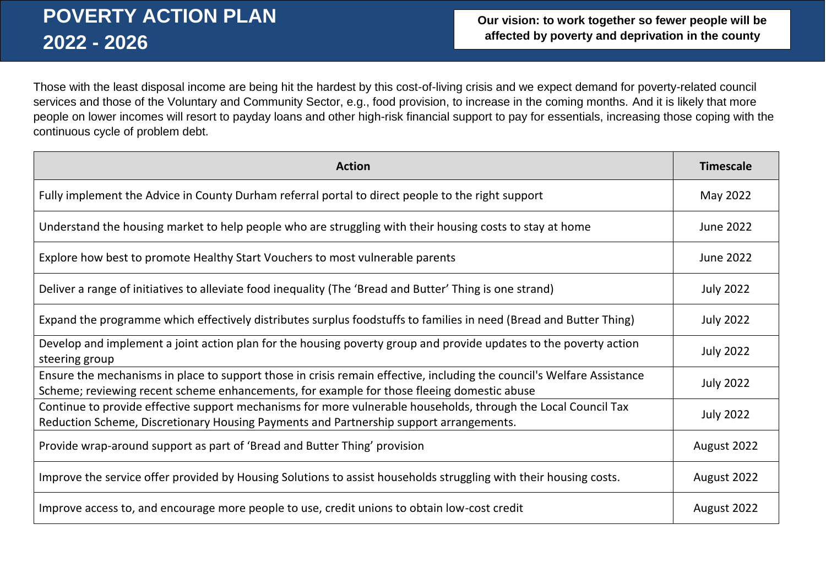Those with the least disposal income are being hit the hardest by this cost-of-living crisis and we expect demand for poverty-related council services and those of the Voluntary and Community Sector, e.g., food provision, to increase in the coming months. And it is likely that more people on lower incomes will resort to payday loans and other high-risk financial support to pay for essentials, increasing those coping with the continuous cycle of problem debt.

| <b>Action</b>                                                                                                                                                                                                        | <b>Timescale</b> |
|----------------------------------------------------------------------------------------------------------------------------------------------------------------------------------------------------------------------|------------------|
| Fully implement the Advice in County Durham referral portal to direct people to the right support                                                                                                                    | May 2022         |
| Understand the housing market to help people who are struggling with their housing costs to stay at home                                                                                                             | <b>June 2022</b> |
| Explore how best to promote Healthy Start Vouchers to most vulnerable parents                                                                                                                                        | <b>June 2022</b> |
| Deliver a range of initiatives to alleviate food inequality (The 'Bread and Butter' Thing is one strand)                                                                                                             | <b>July 2022</b> |
| Expand the programme which effectively distributes surplus foodstuffs to families in need (Bread and Butter Thing)                                                                                                   | <b>July 2022</b> |
| Develop and implement a joint action plan for the housing poverty group and provide updates to the poverty action<br>steering group                                                                                  | <b>July 2022</b> |
| Ensure the mechanisms in place to support those in crisis remain effective, including the council's Welfare Assistance<br>Scheme; reviewing recent scheme enhancements, for example for those fleeing domestic abuse | <b>July 2022</b> |
| Continue to provide effective support mechanisms for more vulnerable households, through the Local Council Tax<br>Reduction Scheme, Discretionary Housing Payments and Partnership support arrangements.             | <b>July 2022</b> |
| Provide wrap-around support as part of 'Bread and Butter Thing' provision                                                                                                                                            | August 2022      |
| Improve the service offer provided by Housing Solutions to assist households struggling with their housing costs.                                                                                                    | August 2022      |
| Improve access to, and encourage more people to use, credit unions to obtain low-cost credit                                                                                                                         | August 2022      |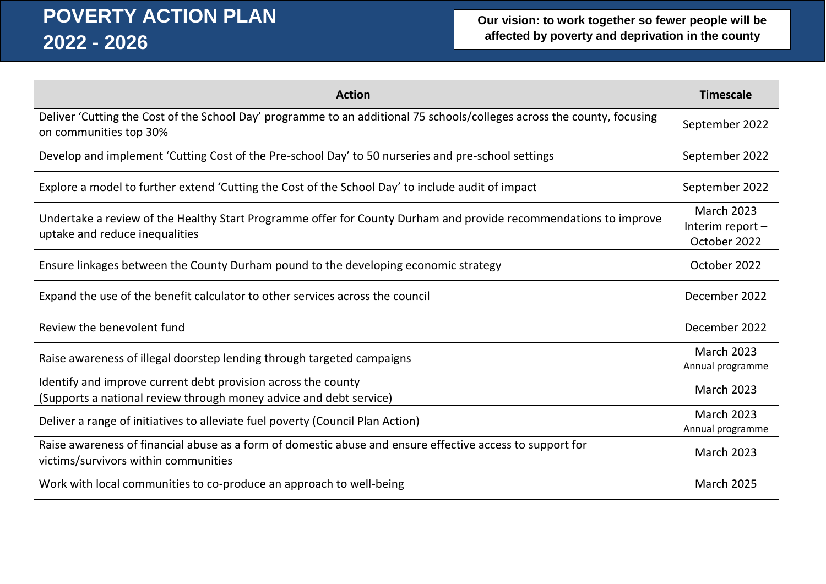| <b>Action</b>                                                                                                                                      | <b>Timescale</b>                                      |
|----------------------------------------------------------------------------------------------------------------------------------------------------|-------------------------------------------------------|
| Deliver 'Cutting the Cost of the School Day' programme to an additional 75 schools/colleges across the county, focusing<br>on communities top 30%  | September 2022                                        |
| Develop and implement 'Cutting Cost of the Pre-school Day' to 50 nurseries and pre-school settings                                                 | September 2022                                        |
| Explore a model to further extend 'Cutting the Cost of the School Day' to include audit of impact                                                  | September 2022                                        |
| Undertake a review of the Healthy Start Programme offer for County Durham and provide recommendations to improve<br>uptake and reduce inequalities | <b>March 2023</b><br>Interim report -<br>October 2022 |
| Ensure linkages between the County Durham pound to the developing economic strategy                                                                | October 2022                                          |
| Expand the use of the benefit calculator to other services across the council                                                                      | December 2022                                         |
| Review the benevolent fund                                                                                                                         | December 2022                                         |
| Raise awareness of illegal doorstep lending through targeted campaigns                                                                             | <b>March 2023</b><br>Annual programme                 |
| Identify and improve current debt provision across the county<br>(Supports a national review through money advice and debt service)                | <b>March 2023</b>                                     |
| Deliver a range of initiatives to alleviate fuel poverty (Council Plan Action)                                                                     | <b>March 2023</b><br>Annual programme                 |
| Raise awareness of financial abuse as a form of domestic abuse and ensure effective access to support for<br>victims/survivors within communities  | <b>March 2023</b>                                     |
| Work with local communities to co-produce an approach to well-being                                                                                | <b>March 2025</b>                                     |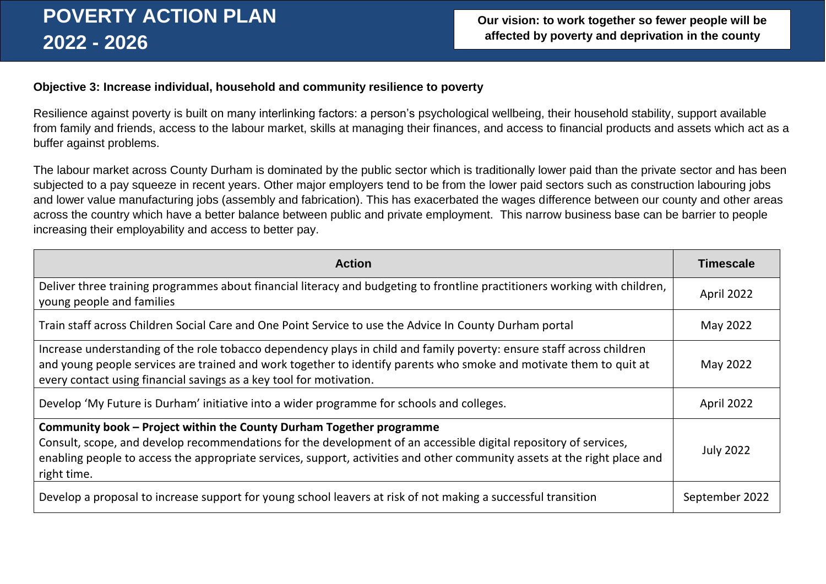#### **Objective 3: Increase individual, household and community resilience to poverty**

Resilience against poverty is built on many interlinking factors: a person's psychological wellbeing, their household stability, support available from family and friends, access to the labour market, skills at managing their finances, and access to financial products and assets which act as a buffer against problems.

The labour market across County Durham is dominated by the public sector which is traditionally lower paid than the private sector and has been subjected to a pay squeeze in recent years. Other major employers tend to be from the lower paid sectors such as construction labouring jobs and lower value manufacturing jobs (assembly and fabrication). This has exacerbated the wages difference between our county and other areas across the country which have a better balance between public and private employment. This narrow business base can be barrier to people increasing their employability and access to better pay.

| <b>Action</b>                                                                                                                                                                                                                                                                                                                        | <b>Timescale</b> |
|--------------------------------------------------------------------------------------------------------------------------------------------------------------------------------------------------------------------------------------------------------------------------------------------------------------------------------------|------------------|
| Deliver three training programmes about financial literacy and budgeting to frontline practitioners working with children,<br>young people and families                                                                                                                                                                              | April 2022       |
| Train staff across Children Social Care and One Point Service to use the Advice In County Durham portal                                                                                                                                                                                                                              | May 2022         |
| Increase understanding of the role tobacco dependency plays in child and family poverty: ensure staff across children<br>and young people services are trained and work together to identify parents who smoke and motivate them to quit at<br>every contact using financial savings as a key tool for motivation.                   | May 2022         |
| Develop 'My Future is Durham' initiative into a wider programme for schools and colleges.                                                                                                                                                                                                                                            | April 2022       |
| Community book - Project within the County Durham Together programme<br>Consult, scope, and develop recommendations for the development of an accessible digital repository of services,<br>enabling people to access the appropriate services, support, activities and other community assets at the right place and<br>right time. | <b>July 2022</b> |
| Develop a proposal to increase support for young school leavers at risk of not making a successful transition                                                                                                                                                                                                                        | September 2022   |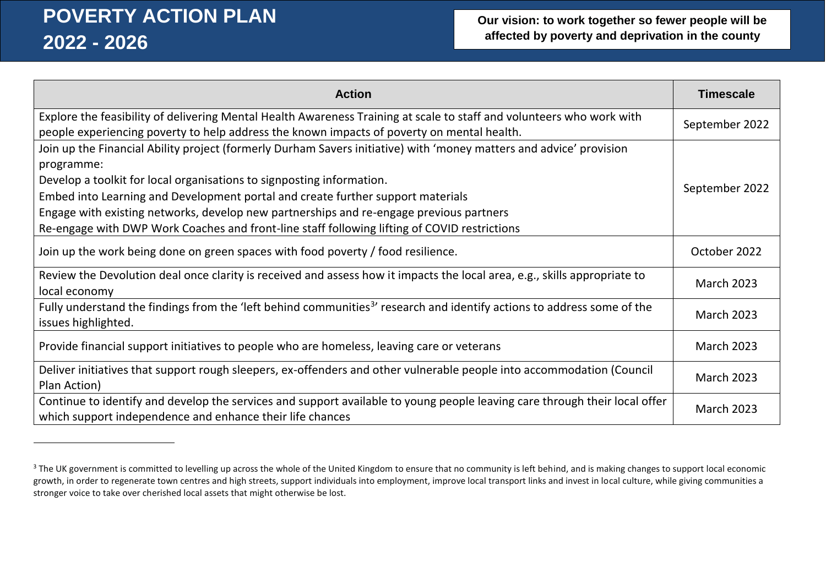$\overline{a}$ 

| <b>Action</b>                                                                                                                                                                                                       | <b>Timescale</b>  |
|---------------------------------------------------------------------------------------------------------------------------------------------------------------------------------------------------------------------|-------------------|
| Explore the feasibility of delivering Mental Health Awareness Training at scale to staff and volunteers who work with<br>people experiencing poverty to help address the known impacts of poverty on mental health. | September 2022    |
| Join up the Financial Ability project (formerly Durham Savers initiative) with 'money matters and advice' provision<br>programme:                                                                                   |                   |
| Develop a toolkit for local organisations to signposting information.                                                                                                                                               |                   |
| Embed into Learning and Development portal and create further support materials                                                                                                                                     | September 2022    |
| Engage with existing networks, develop new partnerships and re-engage previous partners                                                                                                                             |                   |
| Re-engage with DWP Work Coaches and front-line staff following lifting of COVID restrictions                                                                                                                        |                   |
| Join up the work being done on green spaces with food poverty / food resilience.                                                                                                                                    | October 2022      |
| Review the Devolution deal once clarity is received and assess how it impacts the local area, e.g., skills appropriate to<br>local economy                                                                          | <b>March 2023</b> |
| Fully understand the findings from the 'left behind communities <sup>3</sup> ' research and identify actions to address some of the<br>issues highlighted.                                                          | <b>March 2023</b> |
| Provide financial support initiatives to people who are homeless, leaving care or veterans                                                                                                                          | <b>March 2023</b> |
| Deliver initiatives that support rough sleepers, ex-offenders and other vulnerable people into accommodation (Council<br>Plan Action)                                                                               | <b>March 2023</b> |
| Continue to identify and develop the services and support available to young people leaving care through their local offer<br>which support independence and enhance their life chances                             | <b>March 2023</b> |

<sup>&</sup>lt;sup>3</sup> The UK government is committed to levelling up across the whole of the United Kingdom to ensure that no community is left behind, and is making changes to support local economic growth, in order to regenerate town centres and high streets, support individuals into employment, improve local transport links and invest in local culture, while giving communities a stronger voice to take over cherished local assets that might otherwise be lost.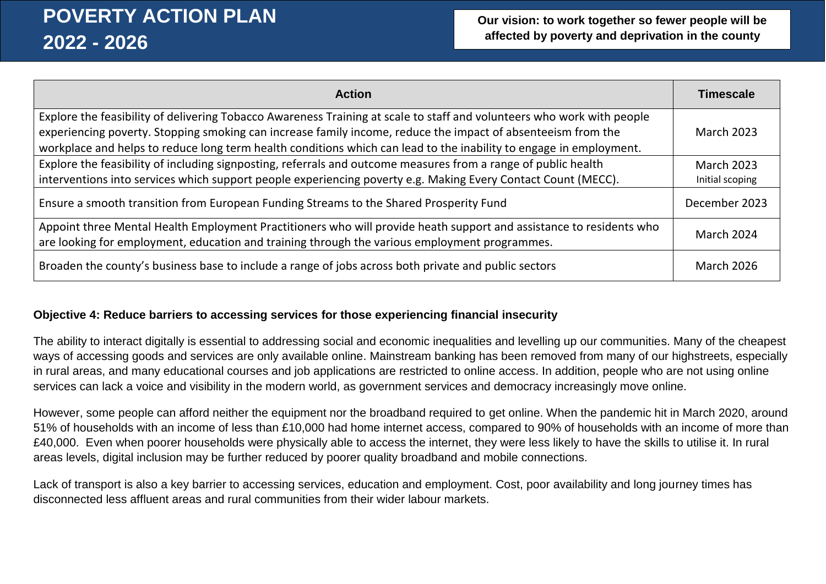| <b>Action</b>                                                                                                                                                                                                                      | <b>Timescale</b>  |
|------------------------------------------------------------------------------------------------------------------------------------------------------------------------------------------------------------------------------------|-------------------|
| Explore the feasibility of delivering Tobacco Awareness Training at scale to staff and volunteers who work with people                                                                                                             |                   |
| experiencing poverty. Stopping smoking can increase family income, reduce the impact of absenteeism from the<br>workplace and helps to reduce long term health conditions which can lead to the inability to engage in employment. | <b>March 2023</b> |
| Explore the feasibility of including signposting, referrals and outcome measures from a range of public health                                                                                                                     | <b>March 2023</b> |
| interventions into services which support people experiencing poverty e.g. Making Every Contact Count (MECC).                                                                                                                      | Initial scoping   |
| Ensure a smooth transition from European Funding Streams to the Shared Prosperity Fund                                                                                                                                             | December 2023     |
| Appoint three Mental Health Employment Practitioners who will provide heath support and assistance to residents who<br>are looking for employment, education and training through the various employment programmes.               | March 2024        |
| Broaden the county's business base to include a range of jobs across both private and public sectors                                                                                                                               | <b>March 2026</b> |

### **Objective 4: Reduce barriers to accessing services for those experiencing financial insecurity**

The ability to interact digitally is essential to addressing social and economic inequalities and levelling up our communities. Many of the cheapest ways of accessing goods and services are only available online. Mainstream banking has been removed from many of our highstreets, especially in rural areas, and many educational courses and job applications are restricted to online access. In addition, people who are not using online services can lack a voice and visibility in the modern world, as government services and democracy increasingly move online.

However, some people can afford neither the equipment nor the broadband required to get online. When the pandemic hit in March 2020, around 51% of households with an income of less than £10,000 had home internet access, compared to 90% of households with an income of more than £40,000. Even when poorer households were physically able to access the internet, they were less likely to have the skills to utilise it. In rural areas levels, digital inclusion may be further reduced by poorer quality broadband and mobile connections.

Lack of transport is also a key barrier to accessing services, education and employment. Cost, poor availability and long journey times has disconnected less affluent areas and rural communities from their wider labour markets.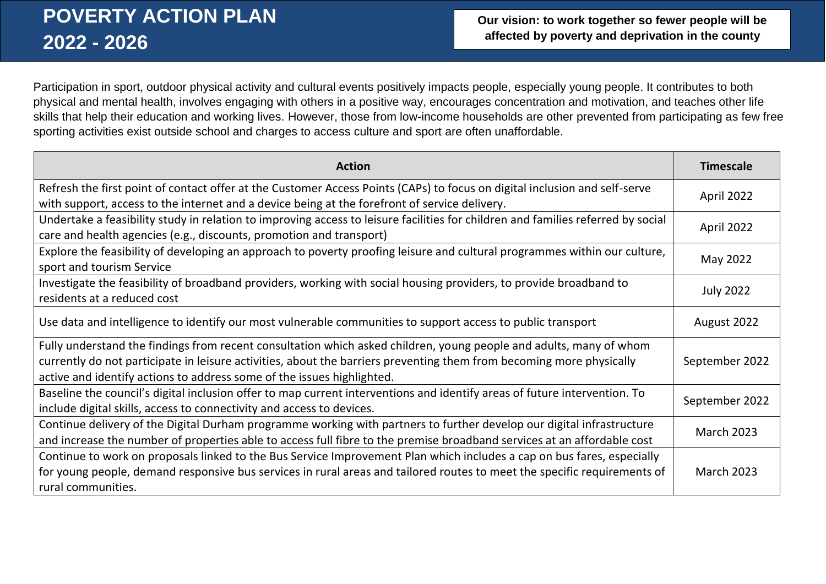Participation in sport, outdoor physical activity and cultural events positively impacts people, especially young people. It contributes to both physical and mental health, involves engaging with others in a positive way, encourages concentration and motivation, and teaches other life skills that help their education and working lives. However, those from low-income households are other prevented from participating as few free sporting activities exist outside school and charges to access culture and sport are often unaffordable.

| <b>Action</b>                                                                                                                                                                                                                                                                                                        | <b>Timescale</b>  |
|----------------------------------------------------------------------------------------------------------------------------------------------------------------------------------------------------------------------------------------------------------------------------------------------------------------------|-------------------|
| Refresh the first point of contact offer at the Customer Access Points (CAPs) to focus on digital inclusion and self-serve<br>with support, access to the internet and a device being at the forefront of service delivery.                                                                                          | April 2022        |
| Undertake a feasibility study in relation to improving access to leisure facilities for children and families referred by social<br>care and health agencies (e.g., discounts, promotion and transport)                                                                                                              | April 2022        |
| Explore the feasibility of developing an approach to poverty proofing leisure and cultural programmes within our culture,<br>sport and tourism Service                                                                                                                                                               | May 2022          |
| Investigate the feasibility of broadband providers, working with social housing providers, to provide broadband to<br>residents at a reduced cost                                                                                                                                                                    | <b>July 2022</b>  |
| Use data and intelligence to identify our most vulnerable communities to support access to public transport                                                                                                                                                                                                          | August 2022       |
| Fully understand the findings from recent consultation which asked children, young people and adults, many of whom<br>currently do not participate in leisure activities, about the barriers preventing them from becoming more physically<br>active and identify actions to address some of the issues highlighted. | September 2022    |
| Baseline the council's digital inclusion offer to map current interventions and identify areas of future intervention. To<br>include digital skills, access to connectivity and access to devices.                                                                                                                   | September 2022    |
| Continue delivery of the Digital Durham programme working with partners to further develop our digital infrastructure<br>and increase the number of properties able to access full fibre to the premise broadband services at an affordable cost                                                                     | <b>March 2023</b> |
| Continue to work on proposals linked to the Bus Service Improvement Plan which includes a cap on bus fares, especially<br>for young people, demand responsive bus services in rural areas and tailored routes to meet the specific requirements of<br>rural communities.                                             | <b>March 2023</b> |